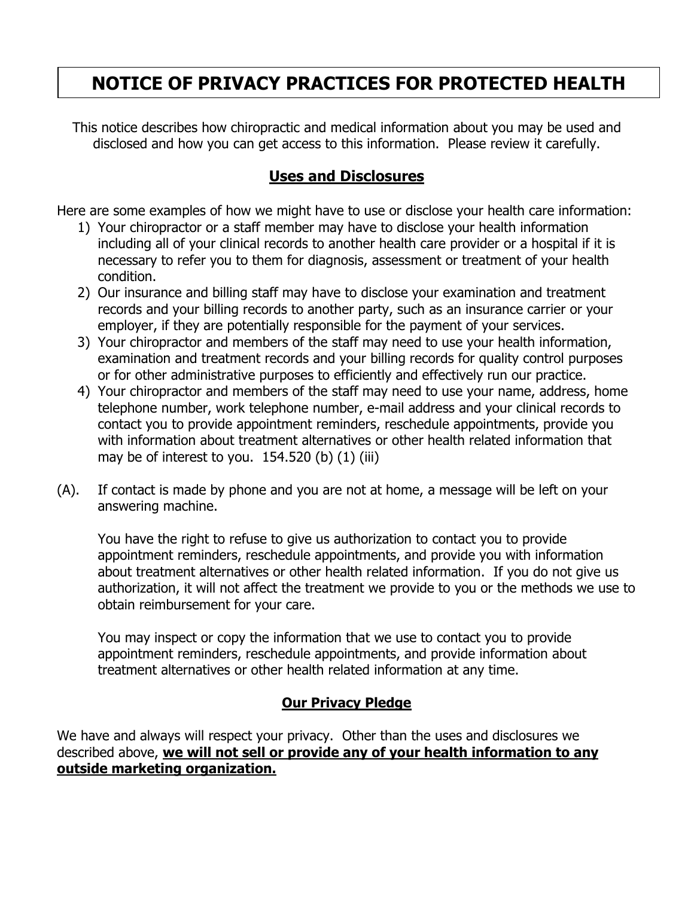# **NOTICE OF PRIVACY PRACTICES FOR PROTECTED HEALTH**

This notice describes how chiropractic and medical information about you may be used and disclosed and how you can get access to this information. Please review it carefully.

# **Uses and Disclosures**

Here are some examples of how we might have to use or disclose your health care information:

- 1) Your chiropractor or a staff member may have to disclose your health information including all of your clinical records to another health care provider or a hospital if it is necessary to refer you to them for diagnosis, assessment or treatment of your health condition.
- 2) Our insurance and billing staff may have to disclose your examination and treatment records and your billing records to another party, such as an insurance carrier or your employer, if they are potentially responsible for the payment of your services.
- 3) Your chiropractor and members of the staff may need to use your health information, examination and treatment records and your billing records for quality control purposes or for other administrative purposes to efficiently and effectively run our practice.
- 4) Your chiropractor and members of the staff may need to use your name, address, home telephone number, work telephone number, e-mail address and your clinical records to contact you to provide appointment reminders, reschedule appointments, provide you with information about treatment alternatives or other health related information that may be of interest to you.  $154.520$  (b)  $(1)$  (iii)
- (A). If contact is made by phone and you are not at home, a message will be left on your answering machine.

You have the right to refuse to give us authorization to contact you to provide appointment reminders, reschedule appointments, and provide you with information about treatment alternatives or other health related information. If you do not give us authorization, it will not affect the treatment we provide to you or the methods we use to obtain reimbursement for your care.

You may inspect or copy the information that we use to contact you to provide appointment reminders, reschedule appointments, and provide information about treatment alternatives or other health related information at any time.

# **Our Privacy Pledge**

We have and always will respect your privacy. Other than the uses and disclosures we described above, **we will not sell or provide any of your health information to any outside marketing organization.**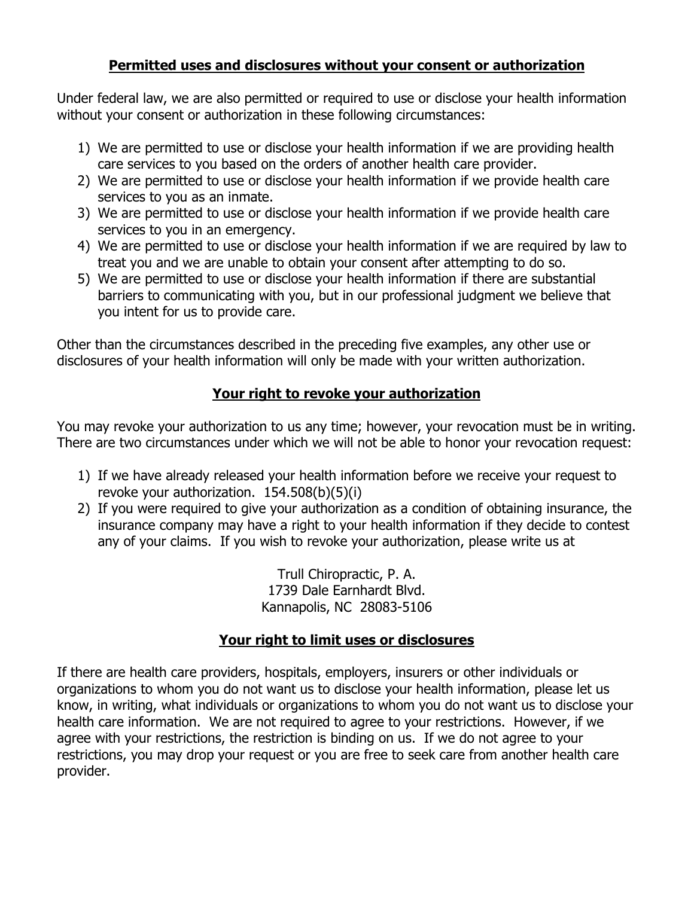## **Permitted uses and disclosures without your consent or authorization**

Under federal law, we are also permitted or required to use or disclose your health information without your consent or authorization in these following circumstances:

- 1) We are permitted to use or disclose your health information if we are providing health care services to you based on the orders of another health care provider.
- 2) We are permitted to use or disclose your health information if we provide health care services to you as an inmate.
- 3) We are permitted to use or disclose your health information if we provide health care services to you in an emergency.
- 4) We are permitted to use or disclose your health information if we are required by law to treat you and we are unable to obtain your consent after attempting to do so.
- 5) We are permitted to use or disclose your health information if there are substantial barriers to communicating with you, but in our professional judgment we believe that you intent for us to provide care.

Other than the circumstances described in the preceding five examples, any other use or disclosures of your health information will only be made with your written authorization.

# **Your right to revoke your authorization**

You may revoke your authorization to us any time; however, your revocation must be in writing. There are two circumstances under which we will not be able to honor your revocation request:

- 1) If we have already released your health information before we receive your request to revoke your authorization. 154.508(b)(5)(i)
- 2) If you were required to give your authorization as a condition of obtaining insurance, the insurance company may have a right to your health information if they decide to contest any of your claims. If you wish to revoke your authorization, please write us at

Trull Chiropractic, P. A. 1739 Dale Earnhardt Blvd. Kannapolis, NC 28083-5106

# **Your right to limit uses or disclosures**

If there are health care providers, hospitals, employers, insurers or other individuals or organizations to whom you do not want us to disclose your health information, please let us know, in writing, what individuals or organizations to whom you do not want us to disclose your health care information. We are not required to agree to your restrictions. However, if we agree with your restrictions, the restriction is binding on us. If we do not agree to your restrictions, you may drop your request or you are free to seek care from another health care provider.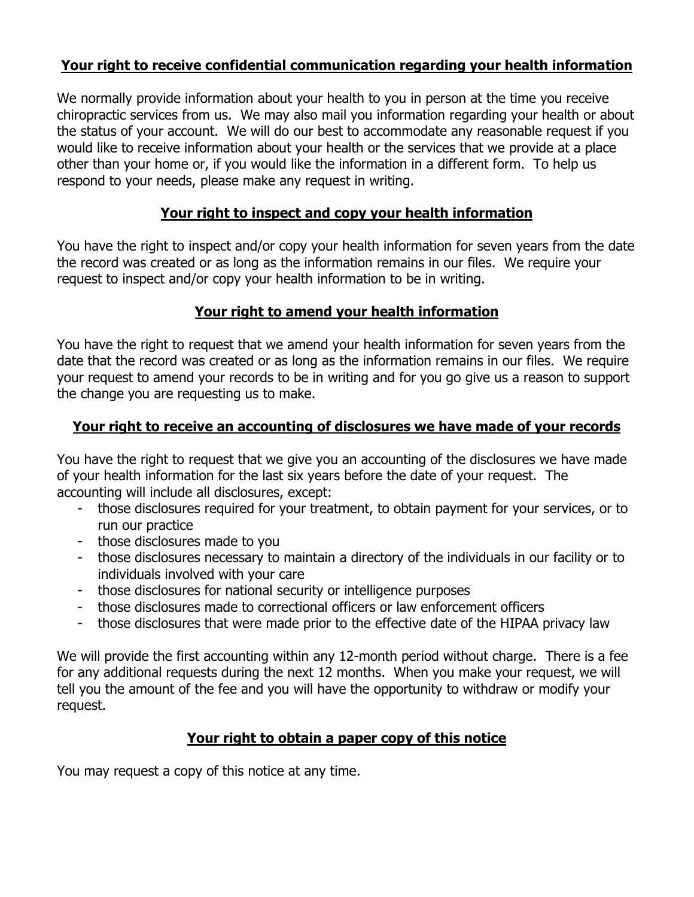# **Your right to receive confidential communication regarding your health information**

We normally provide information about your health to you in person at the time you receive chiropractic services from us. We may also mail you information regarding your health or about the status of your account. We will do our best to accommodate any reasonable request if you would like to receive information about your health or the services that we provide at a place other than your home or, if you would like the information in a different form. To help us respond to your needs, please make any request in writing.

# **Your right to inspect and copy your health information**

You have the right to inspect and/or copy your health information for seven years from the date the record was created or as long as the information remains in our files. We require your request to inspect and/or copy your health information to be in writing.

#### **Your right to amend your health information**

You have the right to request that we amend your health information for seven years from the date that the record was created or as long as the information remains in our files. We require your request to amend your records to be in writing and for you go give us a reason to support the change you are requesting us to make.

#### **Your right to receive an accounting of disclosures we have made of your records**

You have the right to request that we give you an accounting of the disclosures we have made of your health information for the last six years before the date of your request. The accounting will include all disclosures, except:

- those disclosures required for your treatment, to obtain payment for your services, or to run our practice
- those disclosures made to you
- those disclosures necessary to maintain a directory of the individuals in our facility or to individuals involved with your care
- those disclosures for national security or intelligence purposes
- those disclosures made to correctional officers or law enforcement officers
- those disclosures that were made prior to the effective date of the HIPAA privacy law

We will provide the first accounting within any 12-month period without charge. There is a fee for any additional requests during the next 12 months. When you make your request, we will tell you the amount of the fee and you will have the opportunity to withdraw or modify your request.

#### **Your right to obtain a paper copy of this notice**

You may request a copy of this notice at any time.